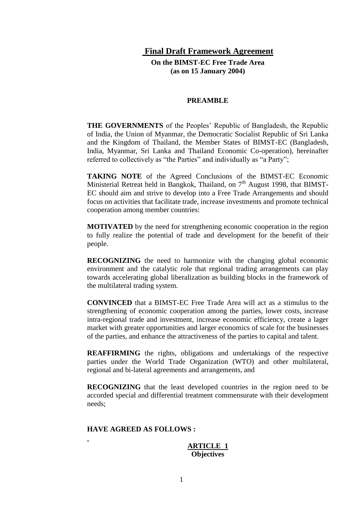### **Final Draft Framework Agreement**

**On the BIMST-EC Free Trade Area (as on 15 January 2004)**

#### **PREAMBLE**

**THE GOVERNMENTS** of the Peoples' Republic of Bangladesh, the Republic of India, the Union of Myanmar, the Democratic Socialist Republic of Sri Lanka and the Kingdom of Thailand, the Member States of BIMST-EC (Bangladesh, India, Myanmar, Sri Lanka and Thailand Economic Co-operation), hereinafter referred to collectively as "the Parties" and individually as "a Party";

**TAKING NOTE** of the Agreed Conclusions of the BIMST-EC Economic Ministerial Retreat held in Bangkok, Thailand, on  $7<sup>th</sup>$  August 1998, that BIMST-EC should aim and strive to develop into a Free Trade Arrangements and should focus on activities that facilitate trade, increase investments and promote technical cooperation among member countries:

**MOTIVATED** by the need for strengthening economic cooperation in the region to fully realize the potential of trade and development for the benefit of their people.

**RECOGNIZING** the need to harmonize with the changing global economic environment and the catalytic role that regional trading arrangements can play towards accelerating global liberalization as building blocks in the framework of the multilateral trading system.

**CONVINCED** that a BIMST-EC Free Trade Area will act as a stimulus to the strengthening of economic cooperation among the parties, lower costs, increase intra-regional trade and investment, increase economic efficiency, create a lager market with greater opportunities and larger economics of scale for the businesses of the parties, and enhance the attractiveness of the parties to capital and talent.

**REAFFIRMING** the rights, obligations and undertakings of the respective parties under the World Trade Organization (WTO) and other multilateral, regional and bi-lateral agreements and arrangements, and

**RECOGNIZING** that the least developed countries in the region need to be accorded special and differential treatment commensurate with their development needs;

#### **HAVE AGREED AS FOLLOWS :**

**ARTICLE 1 Objectives**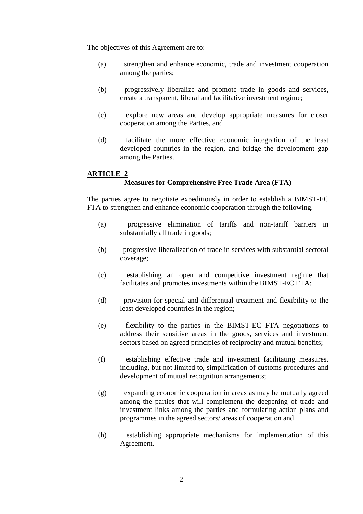The objectives of this Agreement are to:

- (a) strengthen and enhance economic, trade and investment cooperation among the parties;
- (b) progressively liberalize and promote trade in goods and services, create a transparent, liberal and facilitative investment regime;
- (c) explore new areas and develop appropriate measures for closer cooperation among the Parties, and
- (d) facilitate the more effective economic integration of the least developed countries in the region, and bridge the development gap among the Parties.

### **ARTICLE 2 Measures for Comprehensive Free Trade Area (FTA)**

The parties agree to negotiate expeditiously in order to establish a BIMST-EC FTA to strengthen and enhance economic cooperation through the following.

- (a) progressive elimination of tariffs and non-tariff barriers in substantially all trade in goods;
- (b) progressive liberalization of trade in services with substantial sectoral coverage;
- (c) establishing an open and competitive investment regime that facilitates and promotes investments within the BIMST-EC FTA;
- (d) provision for special and differential treatment and flexibility to the least developed countries in the region;
- (e) flexibility to the parties in the BIMST-EC FTA negotiations to address their sensitive areas in the goods, services and investment sectors based on agreed principles of reciprocity and mutual benefits;
- (f) establishing effective trade and investment facilitating measures, including, but not limited to, simplification of customs procedures and development of mutual recognition arrangements;
- (g) expanding economic cooperation in areas as may be mutually agreed among the parties that will complement the deepening of trade and investment links among the parties and formulating action plans and programmes in the agreed sectors/ areas of cooperation and
- (h) establishing appropriate mechanisms for implementation of this Agreement.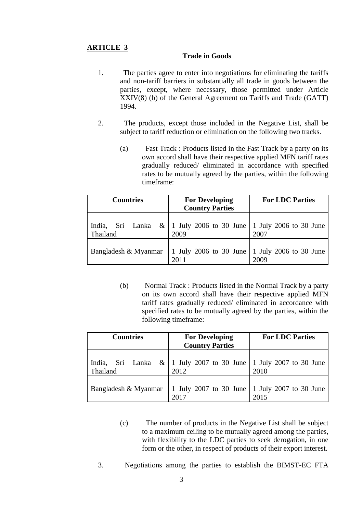### **Trade in Goods**

- 1. The parties agree to enter into negotiations for eliminating the tariffs and non-tariff barriers in substantially all trade in goods between the parties, except, where necessary, those permitted under Article XXIV(8) (b) of the General Agreement on Tariffs and Trade (GATT) 1994.
- 2. The products, except those included in the Negative List, shall be subject to tariff reduction or elimination on the following two tracks.
	- (a) Fast Track : Products listed in the Fast Track by a party on its own accord shall have their respective applied MFN tariff rates gradually reduced/ eliminated in accordance with specified rates to be mutually agreed by the parties, within the following timeframe:

| <b>Countries</b>                | <b>For Developing</b><br><b>Country Parties</b>             | <b>For LDC Parties</b> |
|---------------------------------|-------------------------------------------------------------|------------------------|
| Sri Lanka<br>India,<br>Thailand | &   1 July 2006 to 30 June   1 July 2006 to 30 June<br>2009 | 2007                   |
| Bangladesh & Myanmar            | 1 July 2006 to 30 June   1 July 2006 to 30 June<br>2011     | 2009                   |

(b) Normal Track : Products listed in the Normal Track by a party on its own accord shall have their respective applied MFN tariff rates gradually reduced/ eliminated in accordance with specified rates to be mutually agreed by the parties, within the following timeframe:

| <b>Countries</b>     | <b>For Developing</b><br><b>Country Parties</b>                                   | <b>For LDC Parties</b> |
|----------------------|-----------------------------------------------------------------------------------|------------------------|
| India,<br>Thailand   | Sri Lanka & $\vert$ 1 July 2007 to 30 June $\vert$ 1 July 2007 to 30 June<br>2012 | 2010                   |
| Bangladesh & Myanmar | 1 July 2007 to 30 June 1 July 2007 to 30 June<br>2017                             | 2015                   |

- (c) The number of products in the Negative List shall be subject to a maximum ceiling to be mutually agreed among the parties, with flexibility to the LDC parties to seek derogation, in one form or the other, in respect of products of their export interest.
- 3. Negotiations among the parties to establish the BIMST-EC FTA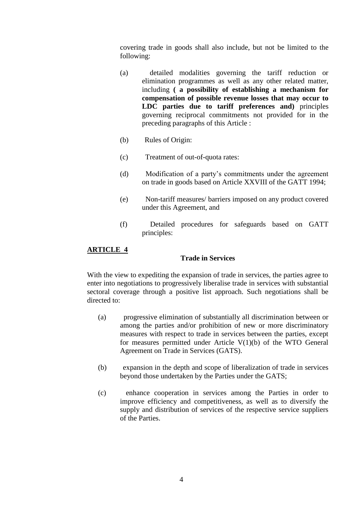covering trade in goods shall also include, but not be limited to the following:

- (a) detailed modalities governing the tariff reduction or elimination programmes as well as any other related matter, including **( a possibility of establishing a mechanism for compensation of possible revenue losses that may occur to LDC parties due to tariff preferences and)** principles governing reciprocal commitments not provided for in the preceding paragraphs of this Article :
- (b) Rules of Origin:
- (c) Treatment of out-of-quota rates:
- (d) Modification of a party's commitments under the agreement on trade in goods based on Article XXVIII of the GATT 1994;
- (e) Non-tariff measures/ barriers imposed on any product covered under this Agreement, and
- (f) Detailed procedures for safeguards based on GATT principles:

### **ARTICLE 4**

### **Trade in Services**

With the view to expediting the expansion of trade in services, the parties agree to enter into negotiations to progressively liberalise trade in services with substantial sectoral coverage through a positive list approach. Such negotiations shall be directed to:

- (a) progressive elimination of substantially all discrimination between or among the parties and/or prohibition of new or more discriminatory measures with respect to trade in services between the parties, except for measures permitted under Article V(1)(b) of the WTO General Agreement on Trade in Services (GATS).
- (b) expansion in the depth and scope of liberalization of trade in services beyond those undertaken by the Parties under the GATS;
- (c) enhance cooperation in services among the Parties in order to improve efficiency and competitiveness, as well as to diversify the supply and distribution of services of the respective service suppliers of the Parties.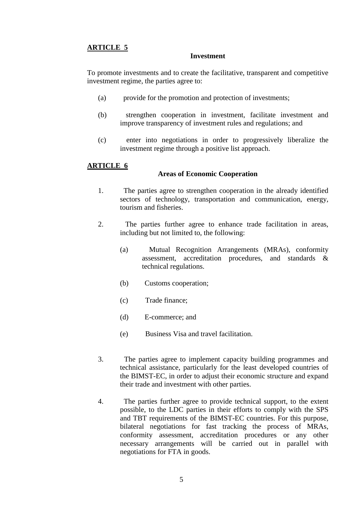#### **Investment**

To promote investments and to create the facilitative, transparent and competitive investment regime, the parties agree to:

- (a) provide for the promotion and protection of investments;
- (b) strengthen cooperation in investment, facilitate investment and improve transparency of investment rules and regulations; and
- (c) enter into negotiations in order to progressively liberalize the investment regime through a positive list approach.

### **ARTICLE 6**

#### **Areas of Economic Cooperation**

- 1. The parties agree to strengthen cooperation in the already identified sectors of technology, transportation and communication, energy, tourism and fisheries.
- 2. The parties further agree to enhance trade facilitation in areas, including but not limited to, the following:
	- (a) Mutual Recognition Arrangements (MRAs), conformity assessment, accreditation procedures, and standards & technical regulations.
	- (b) Customs cooperation;
	- (c) Trade finance;
	- (d) E-commerce; and
	- (e) Business Visa and travel facilitation.
- 3. The parties agree to implement capacity building programmes and technical assistance, particularly for the least developed countries of the BIMST-EC, in order to adjust their economic structure and expand their trade and investment with other parties.
- 4. The parties further agree to provide technical support, to the extent possible, to the LDC parties in their efforts to comply with the SPS and TBT requirements of the BIMST-EC countries. For this purpose, bilateral negotiations for fast tracking the process of MRAs, conformity assessment, accreditation procedures or any other necessary arrangements will be carried out in parallel with negotiations for FTA in goods.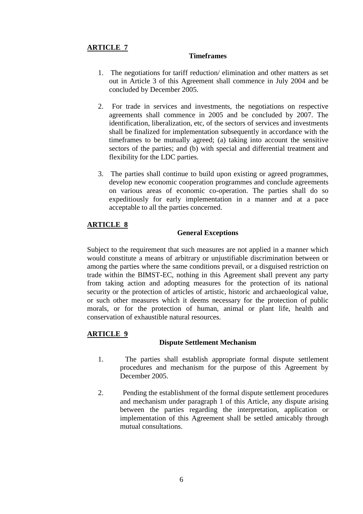### **Timeframes**

- 1. The negotiations for tariff reduction/ elimination and other matters as set out in Article 3 of this Agreement shall commence in July 2004 and be concluded by December 2005.
- 2. For trade in services and investments, the negotiations on respective agreements shall commence in 2005 and be concluded by 2007. The identification, liberalization, etc, of the sectors of services and investments shall be finalized for implementation subsequently in accordance with the timeframes to be mutually agreed; (a) taking into account the sensitive sectors of the parties; and (b) with special and differential treatment and flexibility for the LDC parties.
- 3. The parties shall continue to build upon existing or agreed programmes, develop new economic cooperation programmes and conclude agreements on various areas of economic co-operation. The parties shall do so expeditiously for early implementation in a manner and at a pace acceptable to all the parties concerned.

### **ARTICLE 8**

### **General Exceptions**

Subject to the requirement that such measures are not applied in a manner which would constitute a means of arbitrary or unjustifiable discrimination between or among the parties where the same conditions prevail, or a disguised restriction on trade within the BIMST-EC, nothing in this Agreement shall prevent any party from taking action and adopting measures for the protection of its national security or the protection of articles of artistic, historic and archaeological value, or such other measures which it deems necessary for the protection of public morals, or for the protection of human, animal or plant life, health and conservation of exhaustible natural resources.

### **ARTICLE 9**

#### **Dispute Settlement Mechanism**

- 1. The parties shall establish appropriate formal dispute settlement procedures and mechanism for the purpose of this Agreement by December 2005.
- 2. Pending the establishment of the formal dispute settlement procedures and mechanism under paragraph 1 of this Article, any dispute arising between the parties regarding the interpretation, application or implementation of this Agreement shall be settled amicably through mutual consultations.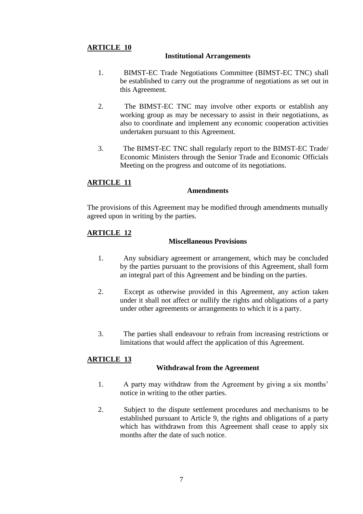### **Institutional Arrangements**

- 1. BIMST-EC Trade Negotiations Committee (BIMST-EC TNC) shall be established to carry out the programme of negotiations as set out in this Agreement.
- 2. The BIMST-EC TNC may involve other exports or establish any working group as may be necessary to assist in their negotiations, as also to coordinate and implement any economic cooperation activities undertaken pursuant to this Agreement.
- 3. The BIMST-EC TNC shall regularly report to the BIMST-EC Trade/ Economic Ministers through the Senior Trade and Economic Officials Meeting on the progress and outcome of its negotiations.

### **ARTICLE 11**

#### **Amendments**

The provisions of this Agreement may be modified through amendments mutually agreed upon in writing by the parties.

### **ARTICLE 12**

### **Miscellaneous Provisions**

- 1. Any subsidiary agreement or arrangement, which may be concluded by the parties pursuant to the provisions of this Agreement, shall form an integral part of this Agreement and be binding on the parties.
- 2. Except as otherwise provided in this Agreement, any action taken under it shall not affect or nullify the rights and obligations of a party under other agreements or arrangements to which it is a party.
- 3. The parties shall endeavour to refrain from increasing restrictions or limitations that would affect the application of this Agreement.

### **ARTICLE 13**

#### **Withdrawal from the Agreement**

- 1. A party may withdraw from the Agreement by giving a six months' notice in writing to the other parties.
- 2. Subject to the dispute settlement procedures and mechanisms to be established pursuant to Article 9, the rights and obligations of a party which has withdrawn from this Agreement shall cease to apply six months after the date of such notice.